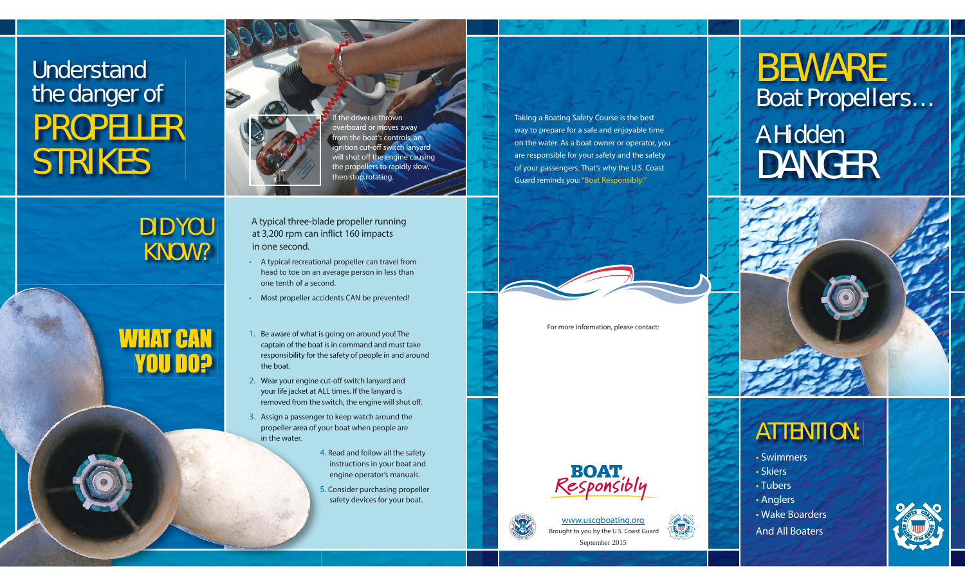## **Understand** the danger of PROPELLER STRIKES

DID YOU KNOW?





overboard or moves away from the boat's controls, an ignition cut-off switch lanyard will shut off the engine causing the propellers to rapidly slow, then stop rotating.

Taking a Boating Safety Course is the best way to prepare for a safe and enjoyable time on the water. As a boat owner or operator, you are responsible for your safety and the safety of your passengers. That's why the U.S. Coast Guard reminds you: "Boat Responsibly!"

For more information, please contact:

**BOA** 

## www.uscgboating.org

Brought to you by the U.S. Coast Guard September 2015

# BEWARE Boat Propellers…

## A Hidden DANGER



### ATTENTION:

• Swimmers

- Skiers
- Tubers

• Anglers

• Wake Boarders

And All Boaters



 A typical three-blade propeller running at 3,200 rpm can inflict 160 impacts in one second.

- A typical recreational propeller can travel from head to toe on an average person in less than one tenth of a second.
- Most propeller accidents CAN be prevented!
- 1. Be aware of what is going on around you! The captain of the boat is in command and must take responsibility for the safety of people in and around th the boat.
- 2. Wear your engine cut-off switch lanyard and your life jacket at ALL times. If the lanyard is Aremoved from the switch, the engine will shut off. the
- 3. Assign a passenger to keep watch around the passenge propeller area of your boat when people are in the water.
	- 4. Read and follow all the safety 4 instructions in your boat and engine operator's manuals.
	- 5. Consider purchasing propeller 5 safety devices for your boat.